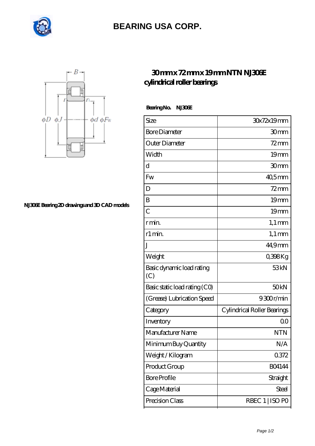

## **[BEARING USA CORP.](https://internationalbonsaiforum.com)**



**[NJ306E Bearing 2D drawings and 3D CAD models](https://internationalbonsaiforum.com/pic-65127960.html)**

## **[30 mm x 72 mm x 19 mm NTN NJ306E](https://internationalbonsaiforum.com/ntn-nj306e-bearing/) [cylindrical roller bearings](https://internationalbonsaiforum.com/ntn-nj306e-bearing/)**

 **Bearing No. NJ306E**

| Size                             | 30x72x19mm                  |
|----------------------------------|-----------------------------|
| <b>Bore Diameter</b>             | 30mm                        |
| Outer Diameter                   | $72 \text{mm}$              |
| Width                            | 19 <sub>mm</sub>            |
| d                                | 30mm                        |
| Fw                               | $405$ mm                    |
| D                                | 72 mm                       |
| B                                | 19 <sub>mm</sub>            |
| $\overline{C}$                   | 19 <sub>mm</sub>            |
| r min.                           | $1,1 \text{ mm}$            |
| r1 min.                          | $1,1 \text{ mm}$            |
| J                                | 44,9mm                      |
| Weight                           | 0,398Kg                     |
| Basic dynamic load rating<br>(C) | 53 <sub>kN</sub>            |
| Basic static load rating (CO)    | 50 <sub>kN</sub>            |
| (Grease) Lubrication Speed       | 9300r/min                   |
| Category                         | Cylindrical Roller Bearings |
| Inventory                        | 0 <sup>0</sup>              |
| Manufacturer Name                | <b>NTN</b>                  |
| Minimum Buy Quantity             | N/A                         |
| Weight /Kilogram                 | 0.372                       |
| Product Group                    | <b>BO4144</b>               |
| <b>Bore Profile</b>              | Straight                    |
| Cage Material                    | <b>Steel</b>                |
| Precision Class                  | RBEC 1   ISO PO             |
|                                  |                             |